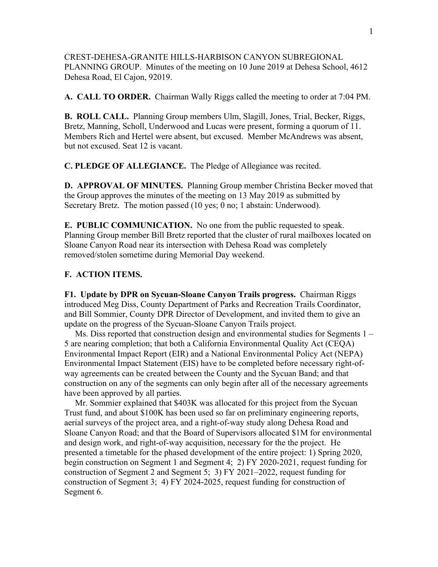CREST-DEHESA-GRANITE HILLS-HARBISON CANYON SUBREGIONAL PLANNING GROUP. Minutes of the meeting on 10 June 2019 at Dehesa School, 4612 Dehesa Road, El Cajon, 92019.

**A. CALL TO ORDER.** Chairman Wally Riggs called the meeting to order at 7:04 PM.

**B. ROLL CALL.** Planning Group members Ulm, Slagill, Jones, Trial, Becker, Riggs, Bretz, Manning, Scholl, Underwood and Lucas were present, forming a quorum of 11. Members Rich and Hertel were absent, but excused. Member McAndrews was absent, but not excused. Seat 12 is vacant.

**C. PLEDGE OF ALLEGIANCE.** The Pledge of Allegiance was recited.

**D. APPROVAL OF MINUTES.** Planning Group member Christina Becker moved that the Group approves the minutes of the meeting on 13 May 2019 as submitted by Secretary Bretz. The motion passed (10 yes; 0 no; 1 abstain: Underwood).

**E. PUBLIC COMMUNICATION.** No one from the public requested to speak. Planning Group member Bill Bretz reported that the cluster of rural mailboxes located on Sloane Canyon Road near its intersection with Dehesa Road was completely removed/stolen sometime during Memorial Day weekend.

## **F. ACTION ITEMS.**

**F1. Update by DPR on Sycuan-Sloane Canyon Trails progress.** Chairman Riggs introduced Meg Diss, County Department of Parks and Recreation Trails Coordinator, and Bill Sommier, County DPR Director of Development, and invited them to give an update on the progress of the Sycuan-Sloane Canyon Trails project.

 Ms. Diss reported that construction design and environmental studies for Segments 1 – 5 are nearing completion; that both a California Environmental Quality Act (CEQA) Environmental Impact Report (EIR) and a National Environmental Policy Act (NEPA) Environmental Impact Statement (EIS) have to be completed before necessary right-ofway agreements can be created between the County and the Sycuan Band; and that construction on any of the segments can only begin after all of the necessary agreements have been approved by all parties.

 Mr. Sommier explained that \$403K was allocated for this project from the Sycuan Trust fund, and about \$100K has been used so far on preliminary engineering reports, aerial surveys of the project area, and a right-of-way study along Dehesa Road and Sloane Canyon Road; and that the Board of Supervisors allocated \$1M for environmental and design work, and right-of-way acquisition, necessary for the the project. He presented a timetable for the phased development of the entire project: 1) Spring 2020, begin construction on Segment 1 and Segment 4; 2) FY 2020-2021, request funding for construction of Segment 2 and Segment 5; 3) FY 2021–2022, request funding for construction of Segment 3; 4) FY 2024-2025, request funding for construction of Segment 6.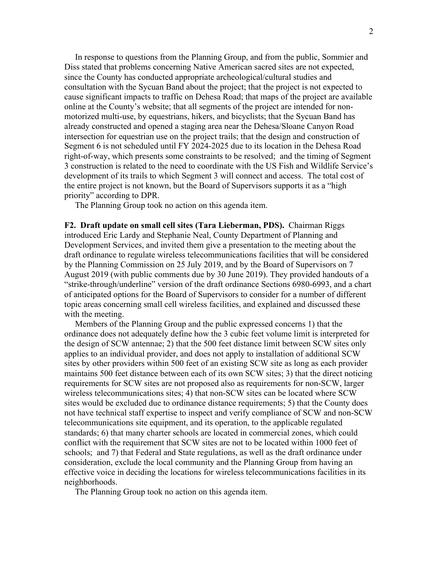In response to questions from the Planning Group, and from the public, Sommier and Diss stated that problems concerning Native American sacred sites are not expected, since the County has conducted appropriate archeological/cultural studies and consultation with the Sycuan Band about the project; that the project is not expected to cause significant impacts to traffic on Dehesa Road; that maps of the project are available online at the County's website; that all segments of the project are intended for nonmotorized multi-use, by equestrians, hikers, and bicyclists; that the Sycuan Band has already constructed and opened a staging area near the Dehesa/Sloane Canyon Road intersection for equestrian use on the project trails; that the design and construction of Segment 6 is not scheduled until FY 2024-2025 due to its location in the Dehesa Road right-of-way, which presents some constraints to be resolved; and the timing of Segment 3 construction is related to the need to coordinate with the US Fish and Wildlife Service's development of its trails to which Segment 3 will connect and access. The total cost of the entire project is not known, but the Board of Supervisors supports it as a "high priority" according to DPR.

The Planning Group took no action on this agenda item.

**F2. Draft update on small cell sites (Tara Lieberman, PDS).** Chairman Riggs introduced Eric Lardy and Stephanie Neal, County Department of Planning and Development Services, and invited them give a presentation to the meeting about the draft ordinance to regulate wireless telecommunications facilities that will be considered by the Planning Commission on 25 July 2019, and by the Board of Supervisors on 7 August 2019 (with public comments due by 30 June 2019). They provided handouts of a "strike-through/underline" version of the draft ordinance Sections 6980-6993, and a chart of anticipated options for the Board of Supervisors to consider for a number of different topic areas concerning small cell wireless facilities, and explained and discussed these with the meeting.

 Members of the Planning Group and the public expressed concerns 1) that the ordinance does not adequately define how the 3 cubic feet volume limit is interpreted for the design of SCW antennae; 2) that the 500 feet distance limit between SCW sites only applies to an individual provider, and does not apply to installation of additional SCW sites by other providers within 500 feet of an existing SCW site as long as each provider maintains 500 feet distance between each of its own SCW sites; 3) that the direct noticing requirements for SCW sites are not proposed also as requirements for non-SCW, larger wireless telecommunications sites; 4) that non-SCW sites can be located where SCW sites would be excluded due to ordinance distance requirements; 5) that the County does not have technical staff expertise to inspect and verify compliance of SCW and non-SCW telecommunications site equipment, and its operation, to the applicable regulated standards; 6) that many charter schools are located in commercial zones, which could conflict with the requirement that SCW sites are not to be located within 1000 feet of schools; and 7) that Federal and State regulations, as well as the draft ordinance under consideration, exclude the local community and the Planning Group from having an effective voice in deciding the locations for wireless telecommunications facilities in its neighborhoods.

The Planning Group took no action on this agenda item.